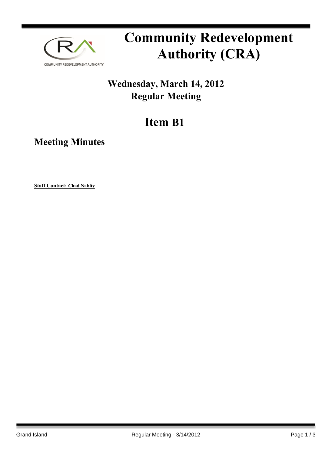

# **Community Redevelopment Authority (CRA)**

### **Wednesday, March 14, 2012 Regular Meeting**

## **Item B1**

**Meeting Minutes**

**Staff Contact: Chad Nabity**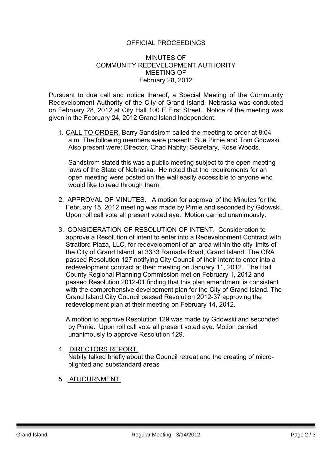#### OFFICIAL PROCEEDINGS

#### MINUTES OF COMMUNITY REDEVELOPMENT AUTHORITY MEETING OF February 28, 2012

Pursuant to due call and notice thereof, a Special Meeting of the Community Redevelopment Authority of the City of Grand Island, Nebraska was conducted on February 28, 2012 at City Hall 100 E First Street. Notice of the meeting was given in the February 24, 2012 Grand Island Independent.

1. CALL TO ORDER. Barry Sandstrom called the meeting to order at 8:04 a.m. The following members were present: Sue Pirnie and Tom Gdowski. Also present were; Director, Chad Nabity; Secretary, Rose Woods.

Sandstrom stated this was a public meeting subject to the open meeting laws of the State of Nebraska. He noted that the requirements for an open meeting were posted on the wall easily accessible to anyone who would like to read through them.

- 2. APPROVAL OF MINUTES. A motion for approval of the Minutes for the February 15, 2012 meeting was made by Pirnie and seconded by Gdowski. Upon roll call vote all present voted aye. Motion carried unanimously.
- 3. CONSIDERATION OF RESOLUTION OF INTENT. Consideration to approve a Resolution of intent to enter into a Redevelopment Contract with Stratford Plaza, LLC, for redevelopment of an area within the city limits of the City of Grand Island, at 3333 Ramada Road, Grand Island. The CRA passed Resolution 127 notifying City Council of their intent to enter into a redevelopment contract at their meeting on January 11, 2012. The Hall County Regional Planning Commission met on February 1, 2012 and passed Resolution 2012-01 finding that this plan amendment is consistent with the comprehensive development plan for the City of Grand Island. The Grand Island City Council passed Resolution 2012-37 approving the redevelopment plan at their meeting on February 14, 2012.

A motion to approve Resolution 129 was made by Gdowski and seconded by Pirnie. Upon roll call vote all present voted aye. Motion carried unanimously to approve Resolution 129.

#### 4. DIRECTORS REPORT. Nabity talked briefly about the Council retreat and the creating of microblighted and substandard areas

5. ADJOURNMENT.